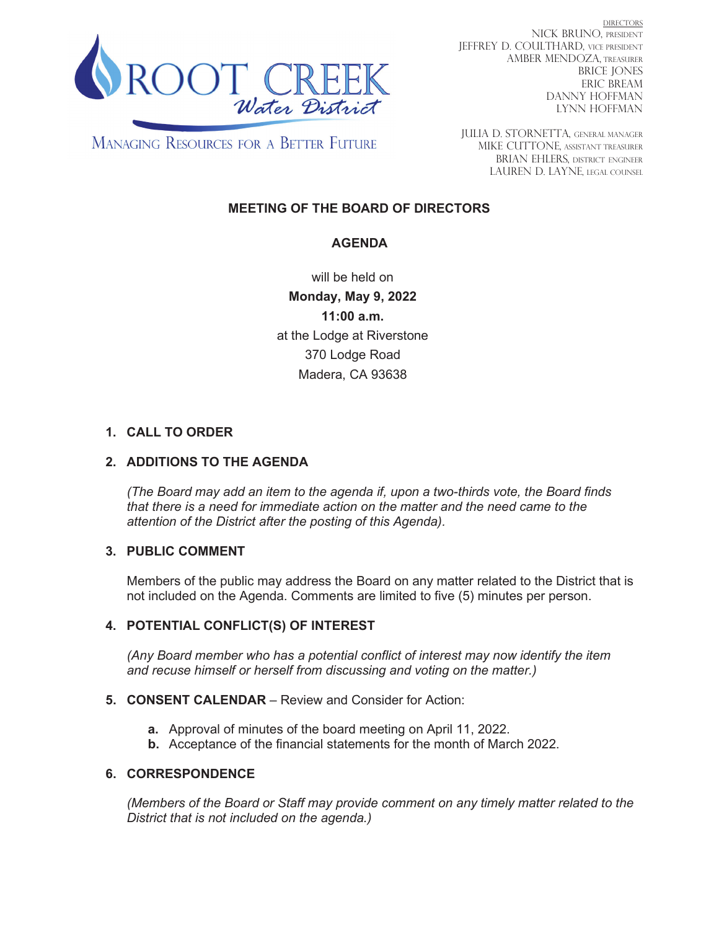

DIRECTORS NICK BRUNO, PRESIDENT JEFFREY D. COULTHARD, Vice President AMBER MENDOZA, TREASURER BRICE JONES ERIC BREAM DANNY HOFFMAN LYNN HOFFMAN

**MANAGING RESOURCES FOR A BETTER FUTURE** 

JULIA D. STORNETTA, GENERAL MANAGER MIKE CUTTONE, Assistant treasurer BRIAN EHLERS, DISTRICT ENGINEER LAUREN D. LAYNE, LEGAL COUNSEL

# **MEETING OF THE BOARD OF DIRECTORS**

## **AGENDA**

will be held on **Monday, May 9, 2022 11:00 a.m.** at the Lodge at Riverstone 370 Lodge Road Madera, CA 93638

# **1. CALL TO ORDER**

### **2. ADDITIONS TO THE AGENDA**

*(The Board may add an item to the agenda if, upon a two-thirds vote, the Board finds that there is a need for immediate action on the matter and the need came to the attention of the District after the posting of this Agenda).*

### **3. PUBLIC COMMENT**

Members of the public may address the Board on any matter related to the District that is not included on the Agenda. Comments are limited to five (5) minutes per person.

### **4. POTENTIAL CONFLICT(S) OF INTEREST**

*(Any Board member who has a potential conflict of interest may now identify the item and recuse himself or herself from discussing and voting on the matter.)*

#### **5. CONSENT CALENDAR** – Review and Consider for Action:

- **a.** Approval of minutes of the board meeting on April 11, 2022.
- **b.** Acceptance of the financial statements for the month of March 2022.

#### **6. CORRESPONDENCE**

*(Members of the Board or Staff may provide comment on any timely matter related to the District that is not included on the agenda.)*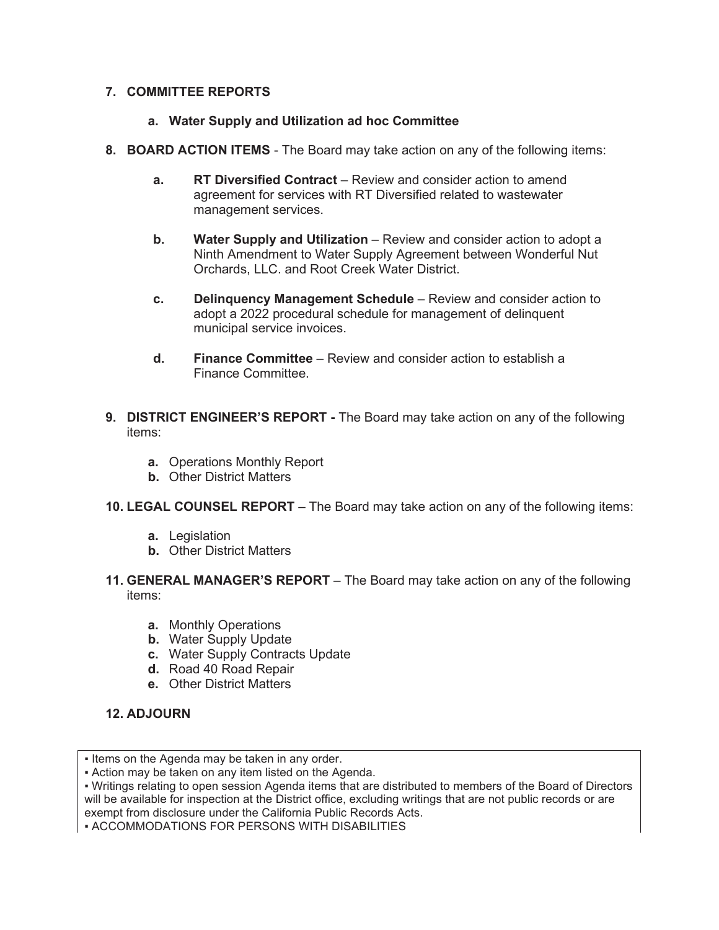### **7. COMMITTEE REPORTS**

### **a. Water Supply and Utilization ad hoc Committee**

- **8. BOARD ACTION ITEMS**  The Board may take action on any of the following items:
	- **a.** RT Diversified Contract Review and consider action to amend agreement for services with RT Diversified related to wastewater management services.
	- **b. Water Supply and Utilization** Review and consider action to adopt a Ninth Amendment to Water Supply Agreement between Wonderful Nut Orchards, LLC. and Root Creek Water District.
	- **c. Delinquency Management Schedule** Review and consider action to adopt a 2022 procedural schedule for management of delinquent municipal service invoices.
	- **d. Finance Committee** Review and consider action to establish a Finance Committee.
- **9. DISTRICT ENGINEER'S REPORT** The Board may take action on any of the following items:
	- **a.** Operations Monthly Report
	- **b.** Other District Matters
- **10. LEGAL COUNSEL REPORT** The Board may take action on any of the following items:
	- **a.** Legislation
	- **b.** Other District Matters
- **11. GENERAL MANAGER'S REPORT** The Board may take action on any of the following items:
	- **a.** Monthly Operations
	- **b.** Water Supply Update
	- **c.** Water Supply Contracts Update
	- **d.** Road 40 Road Repair
	- **e.** Other District Matters

# **12. ADJOURN**

**• ACCOMMODATIONS FOR PERSONS WITH DISABILITIES** 

<sup>•</sup> Items on the Agenda may be taken in any order.

<sup>•</sup> Action may be taken on any item listed on the Agenda.

<sup>•</sup> Writings relating to open session Agenda items that are distributed to members of the Board of Directors will be available for inspection at the District office, excluding writings that are not public records or are exempt from disclosure under the California Public Records Acts.